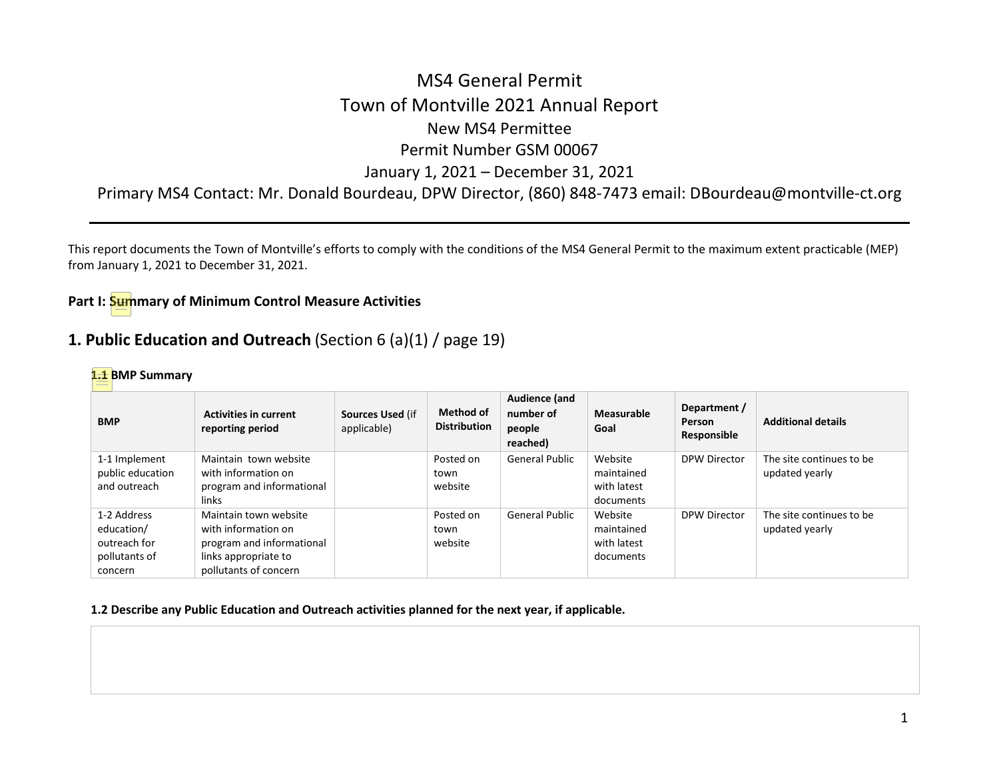# MS4 General Permit Town of Montville 2021 Annual Report New MS4 Permittee Permit Number GSM 00067 January 1, 2021 – December 31, 2021

Primary MS4 Contact: Mr. Donald Bourdeau, DPW Director, (860) 848-7473 email: DBourdeau@montville-ct.org

This report documents the Town of Montville's efforts to comply with the conditions of the MS4 General Permit to the maximum extent practicable (MEP) from January 1, 2021 to December 31, 2021.

## **Part I: Summary of Minimum Control Measure Activities**

## **1. Public Education and Outreach** (Section 6 (a)(1) / page 19)

#### **1.1 BMP Summary**

| <b>BMP</b>                                                            | <b>Activities in current</b><br>reporting period                                                                           | Sources Used (if<br>applicable) | <b>Method of</b><br><b>Distribution</b> | Audience (and<br>number of<br>people<br>reached) | Measurable<br>Goal                                | Department /<br>Person<br>Responsible | <b>Additional details</b>                  |
|-----------------------------------------------------------------------|----------------------------------------------------------------------------------------------------------------------------|---------------------------------|-----------------------------------------|--------------------------------------------------|---------------------------------------------------|---------------------------------------|--------------------------------------------|
| 1-1 Implement<br>public education<br>and outreach                     | Maintain town website<br>with information on<br>program and informational<br>links                                         |                                 | Posted on<br>town<br>website            | <b>General Public</b>                            | Website<br>maintained<br>with latest<br>documents | DPW Director                          | The site continues to be<br>updated yearly |
| 1-2 Address<br>education/<br>outreach for<br>pollutants of<br>concern | Maintain town website<br>with information on<br>program and informational<br>links appropriate to<br>pollutants of concern |                                 | Posted on<br>town<br>website            | <b>General Public</b>                            | Website<br>maintained<br>with latest<br>documents | DPW Director                          | The site continues to be<br>updated yearly |

#### **1.2 Describe any Public Education and Outreach activities planned for the next year, if applicable.**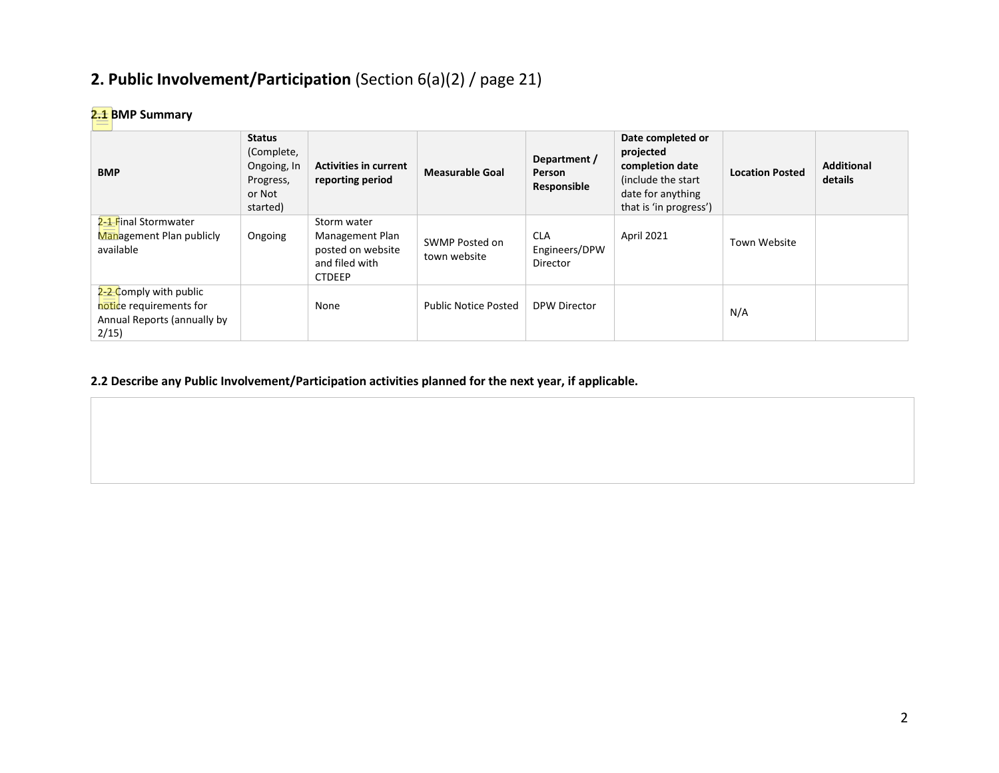# **2. Public Involvement/Participation** (Section 6(a)(2) / page 21)

## **2.1 BMP Summary**

| <b>BMP</b>                                                                               | <b>Status</b><br>(Complete,<br>Ongoing, In<br>Progress,<br>or Not<br>started) | <b>Activities in current</b><br>reporting period                                       | <b>Measurable Goal</b>         | Department /<br><b>Person</b><br>Responsible | Date completed or<br>projected<br>completion date<br>(include the start)<br>date for anything<br>that is 'in progress') | <b>Location Posted</b> | <b>Additional</b><br>details |
|------------------------------------------------------------------------------------------|-------------------------------------------------------------------------------|----------------------------------------------------------------------------------------|--------------------------------|----------------------------------------------|-------------------------------------------------------------------------------------------------------------------------|------------------------|------------------------------|
| 2- <del>1 F</del> inal Stormwater<br>Management Plan publicly<br>available               | Ongoing                                                                       | Storm water<br>Management Plan<br>posted on website<br>and filed with<br><b>CTDEEP</b> | SWMP Posted on<br>town website | <b>CLA</b><br>Engineers/DPW<br>Director      | April 2021                                                                                                              | Town Website           |                              |
| 2-2-Comply with public<br>notice requirements for<br>Annual Reports (annually by<br>2/15 |                                                                               | None                                                                                   | <b>Public Notice Posted</b>    | DPW Director                                 |                                                                                                                         | N/A                    |                              |

## **2.2 Describe any Public Involvement/Participation activities planned for the next year, if applicable.**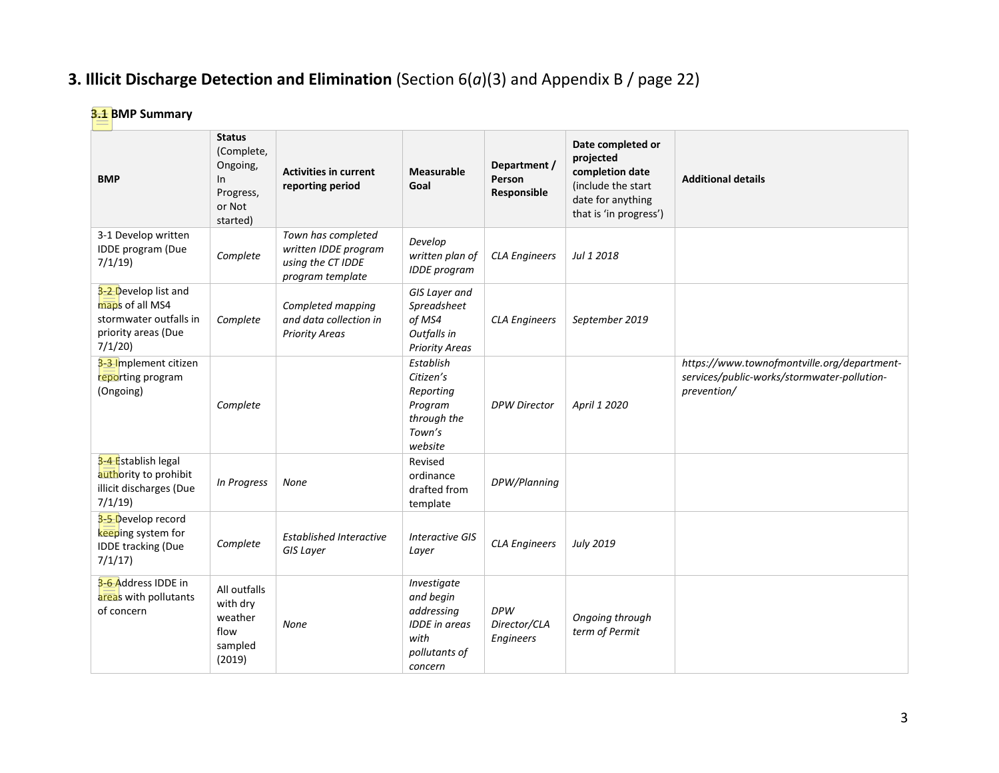# **3. Illicit Discharge Detection and Elimination** (Section 6(*a*)(3) and Appendix B / page 22)

# **3.1 BMP Summary**

| <b>BMP</b>                                                                                         | <b>Status</b><br>(Complete,<br>Ongoing,<br>In.<br>Progress,<br>or Not<br>started) | <b>Activities in current</b><br>reporting period                                    | <b>Measurable</b><br>Goal                                                                          | Department /<br>Person<br>Responsible   | Date completed or<br>projected<br>completion date<br>(include the start<br>date for anything<br>that is 'in progress') | <b>Additional details</b>                                                                                 |
|----------------------------------------------------------------------------------------------------|-----------------------------------------------------------------------------------|-------------------------------------------------------------------------------------|----------------------------------------------------------------------------------------------------|-----------------------------------------|------------------------------------------------------------------------------------------------------------------------|-----------------------------------------------------------------------------------------------------------|
| 3-1 Develop written<br>IDDE program (Due<br>7/1/19                                                 | Complete                                                                          | Town has completed<br>written IDDE program<br>using the CT IDDE<br>program template | Develop<br>written plan of<br><b>IDDE</b> program                                                  | <b>CLA Engineers</b>                    | Jul 1 2018                                                                                                             |                                                                                                           |
| 3-2 Develop list and<br>maps of all MS4<br>stormwater outfalls in<br>priority areas (Due<br>7/1/20 | Complete                                                                          | Completed mapping<br>and data collection in<br><b>Priority Areas</b>                | GIS Layer and<br>Spreadsheet<br>of MS4<br>Outfalls in<br><b>Priority Areas</b>                     | <b>CLA Engineers</b>                    | September 2019                                                                                                         |                                                                                                           |
| 3-3-Implement citizen<br>reporting program<br>(Ongoing)                                            | Complete                                                                          |                                                                                     | Establish<br>Citizen's<br>Reporting<br>Program<br>through the<br>Town's<br>website                 | <b>DPW Director</b>                     | April 1 2020                                                                                                           | https://www.townofmontville.org/department-<br>services/public-works/stormwater-pollution-<br>prevention/ |
| 3-4 Establish legal<br>authority to prohibit<br>illicit discharges (Due<br>7/1/19                  | In Progress                                                                       | None                                                                                | Revised<br>ordinance<br>drafted from<br>template                                                   | DPW/Planning                            |                                                                                                                        |                                                                                                           |
| 3-5 Develop record<br>keeping system for<br><b>IDDE tracking (Due</b><br>7/1/17                    | Complete                                                                          | <b>Established Interactive</b><br>GIS Layer                                         | <b>Interactive GIS</b><br>Layer                                                                    | <b>CLA Engineers</b>                    | <b>July 2019</b>                                                                                                       |                                                                                                           |
| 3-6-Address IDDE in<br>areas with pollutants<br>of concern                                         | All outfalls<br>with dry<br>weather<br>flow<br>sampled<br>(2019)                  | <b>None</b>                                                                         | Investigate<br>and begin<br>addressing<br><b>IDDE</b> in areas<br>with<br>pollutants of<br>concern | <b>DPW</b><br>Director/CLA<br>Engineers | Ongoing through<br>term of Permit                                                                                      |                                                                                                           |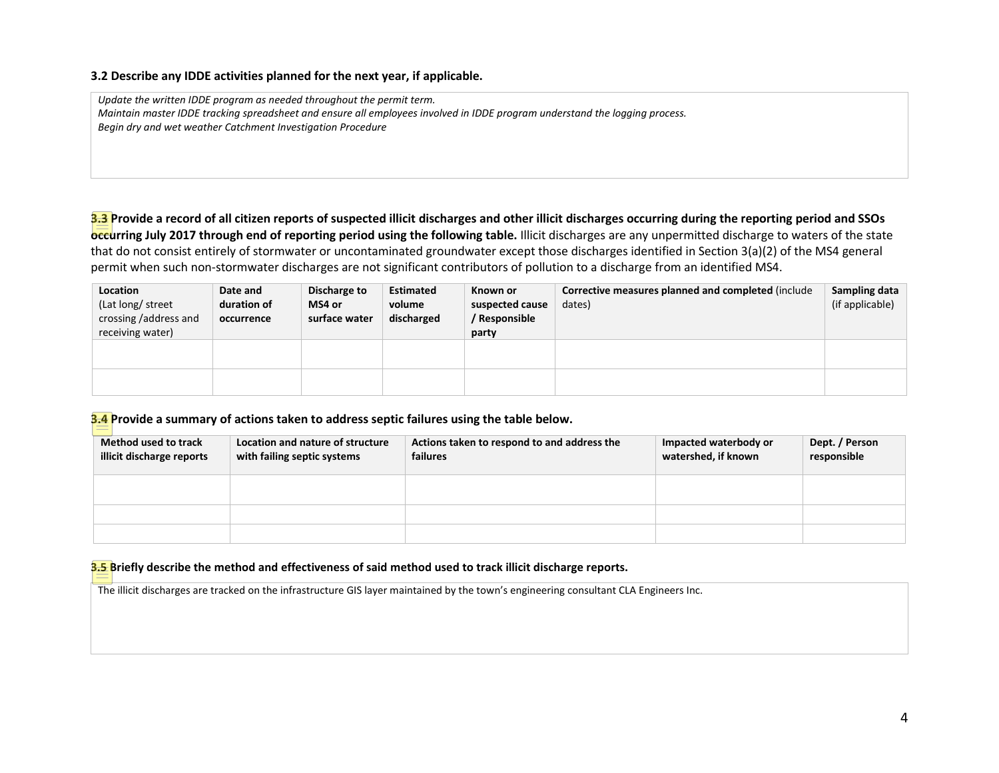#### **3.2 Describe any IDDE activities planned for the next year, if applicable.**

*Update the written IDDE program as needed throughout the permit term. Maintain master IDDE tracking spreadsheet and ensure all employees involved in IDDE program understand the logging process. Begin dry and wet weather Catchment Investigation Procedure*

**3.3 Provide a record of all citizen reports of suspected illicit discharges and other illicit discharges occurring during the reporting period and SSOs occurring July 2017 through end of reporting period using the following table.** Illicit discharges are any unpermitted discharge to waters of the state that do not consist entirely of stormwater or uncontaminated groundwater except those discharges identified in Section 3(a)(2) of the MS4 general permit when such non-stormwater discharges are not significant contributors of pollution to a discharge from an identified MS4.

| Location<br>(Lat long/ street<br>crossing /address and | Date and<br>duration of<br>occurrence | Discharge to<br>MS4 or<br>surface water | <b>Estimated</b><br>volume<br>discharged | Known or<br>suspected cause<br>/ Responsible | Corrective measures planned and completed (include<br>dates) | Sampling data<br>(if applicable) |
|--------------------------------------------------------|---------------------------------------|-----------------------------------------|------------------------------------------|----------------------------------------------|--------------------------------------------------------------|----------------------------------|
| receiving water)                                       |                                       |                                         |                                          | party                                        |                                                              |                                  |
|                                                        |                                       |                                         |                                          |                                              |                                                              |                                  |
|                                                        |                                       |                                         |                                          |                                              |                                                              |                                  |

**3.4 Provide a summary of actions taken to address septic failures using the table below.** 

| Method used to track<br>illicit discharge reports | Location and nature of structure<br>with failing septic systems | Actions taken to respond to and address the<br>failures | Impacted waterbody or<br>watershed, if known | Dept. / Person<br>responsible |
|---------------------------------------------------|-----------------------------------------------------------------|---------------------------------------------------------|----------------------------------------------|-------------------------------|
|                                                   |                                                                 |                                                         |                                              |                               |
|                                                   |                                                                 |                                                         |                                              |                               |
|                                                   |                                                                 |                                                         |                                              |                               |

**3.5 Briefly describe the method and effectiveness of said method used to track illicit discharge reports.**

The illicit discharges are tracked on the infrastructure GIS layer maintained by the town's engineering consultant CLA Engineers Inc.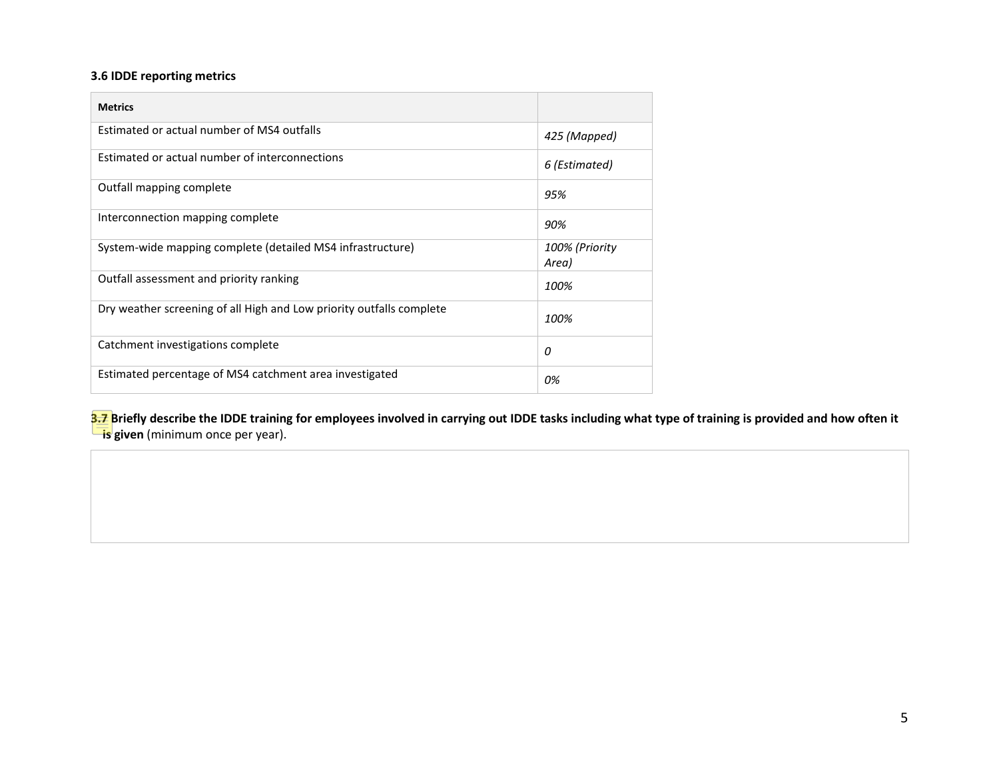## **3.6 IDDE reporting metrics**

| <b>Metrics</b>                                                       |                         |
|----------------------------------------------------------------------|-------------------------|
| Estimated or actual number of MS4 outfalls                           | 425 (Mapped)            |
| Estimated or actual number of interconnections                       | 6 (Estimated)           |
| Outfall mapping complete                                             | 95%                     |
| Interconnection mapping complete                                     | 90%                     |
| System-wide mapping complete (detailed MS4 infrastructure)           | 100% (Priority<br>Area) |
| Outfall assessment and priority ranking                              | 100%                    |
| Dry weather screening of all High and Low priority outfalls complete | 100%                    |
| Catchment investigations complete                                    | 0                       |
| Estimated percentage of MS4 catchment area investigated              | 0%                      |

**3.7** Briefly describe the IDDE training for employees involved in carrying out IDDE tasks including what type of training is provided and how often it **is given** (minimum once per year).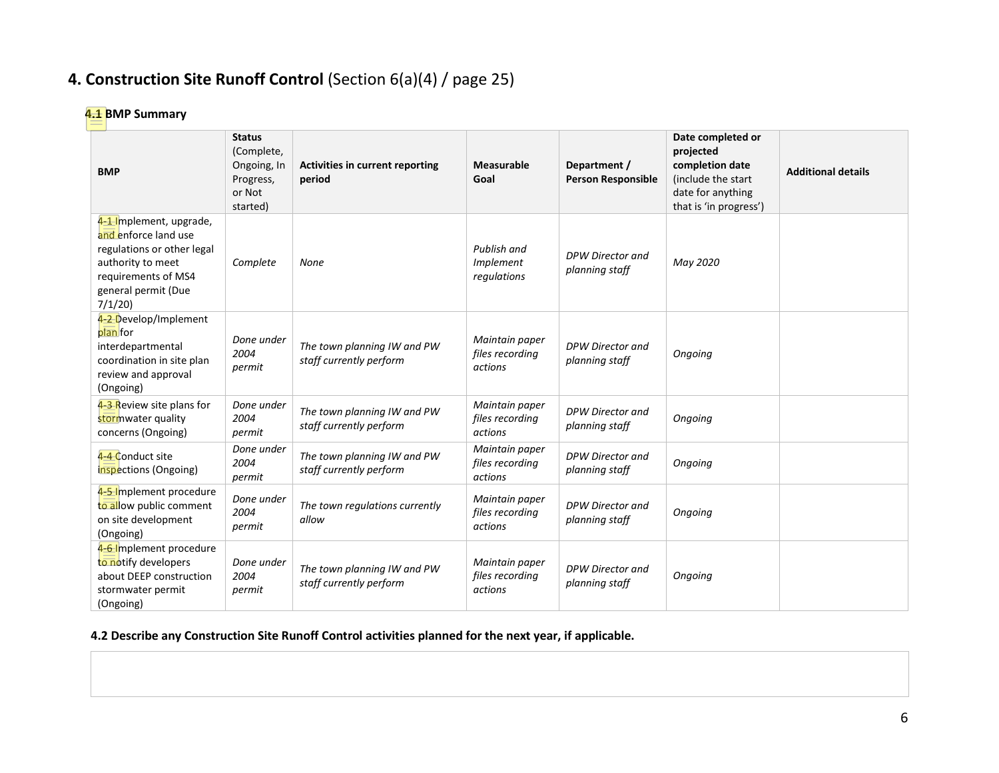# **4. Construction Site Runoff Control** (Section 6(a)(4) / page 25)

## **4.1 BMP Summary**

| <b>BMP</b>                                                                                                                                                 | <b>Status</b><br>(Complete,<br>Ongoing, In<br>Progress,<br>or Not<br>started) | <b>Activities in current reporting</b><br>period       | Measurable<br>Goal                           | Department /<br><b>Person Responsible</b> | Date completed or<br>projected<br>completion date<br>(include the start<br>date for anything<br>that is 'in progress') | <b>Additional details</b> |
|------------------------------------------------------------------------------------------------------------------------------------------------------------|-------------------------------------------------------------------------------|--------------------------------------------------------|----------------------------------------------|-------------------------------------------|------------------------------------------------------------------------------------------------------------------------|---------------------------|
| 4-1-Implement, upgrade,<br>and enforce land use<br>regulations or other legal<br>authority to meet<br>requirements of MS4<br>general permit (Due<br>7/1/20 | Complete                                                                      | None                                                   | Publish and<br>Implement<br>regulations      | DPW Director and<br>planning staff        | May 2020                                                                                                               |                           |
| 4-2 Develop/Implement<br>plan for<br>interdepartmental<br>coordination in site plan<br>review and approval<br>(Ongoing)                                    | Done under<br>2004<br>permit                                                  | The town planning IW and PW<br>staff currently perform | Maintain paper<br>files recording<br>actions | DPW Director and<br>planning staff        | Ongoing                                                                                                                |                           |
| 4-3 Review site plans for<br>stormwater quality<br>concerns (Ongoing)                                                                                      | Done under<br>2004<br>permit                                                  | The town planning IW and PW<br>staff currently perform | Maintain paper<br>files recording<br>actions | DPW Director and<br>planning staff        | Ongoing                                                                                                                |                           |
| 4-4 Conduct site<br>inspections (Ongoing)                                                                                                                  | Done under<br>2004<br>permit                                                  | The town planning IW and PW<br>staff currently perform | Maintain paper<br>files recording<br>actions | DPW Director and<br>planning staff        | Ongoing                                                                                                                |                           |
| 4-5-Implement procedure<br>to allow public comment<br>on site development<br>(Ongoing)                                                                     | Done under<br>2004<br>permit                                                  | The town regulations currently<br>allow                | Maintain paper<br>files recording<br>actions | <b>DPW Director and</b><br>planning staff | Ongoing                                                                                                                |                           |
| 4-6-Implement procedure<br>to notify developers<br>about DEEP construction<br>stormwater permit<br>(Ongoing)                                               | Done under<br>2004<br>permit                                                  | The town planning IW and PW<br>staff currently perform | Maintain paper<br>files recording<br>actions | DPW Director and<br>planning staff        | Ongoing                                                                                                                |                           |

**4.2 Describe any Construction Site Runoff Control activities planned for the next year, if applicable.**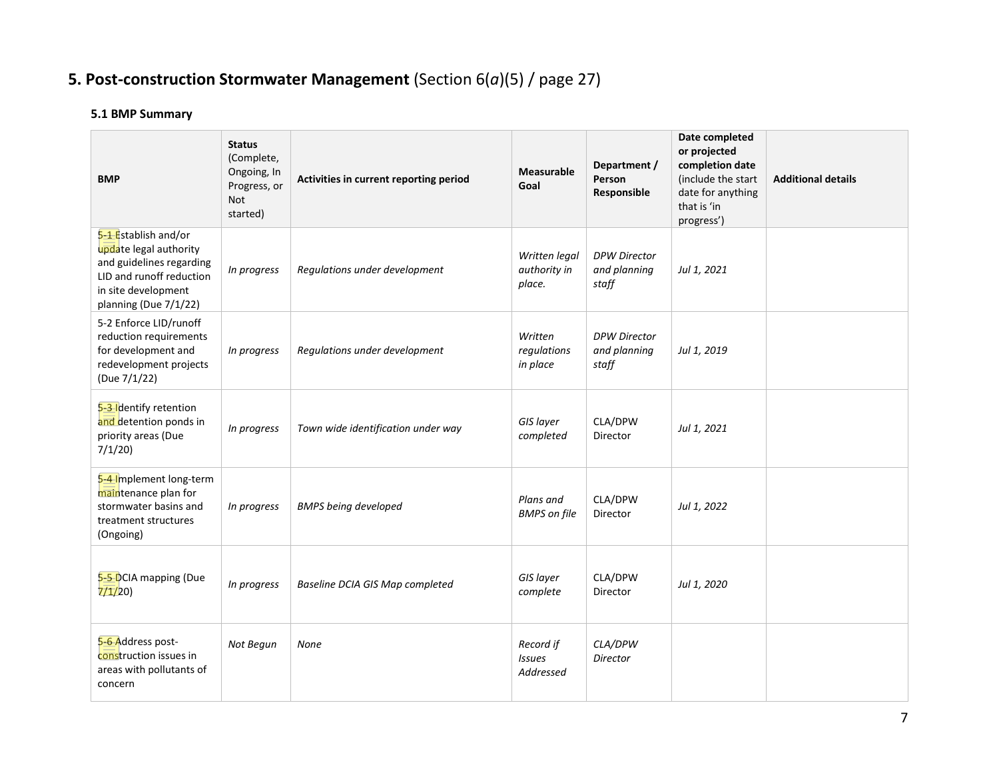# **5. Post-construction Stormwater Management** (Section 6(*a*)(5) / page 27)

## **5.1 BMP Summary**

| <b>BMP</b>                                                                                                                                             | <b>Status</b><br>(Complete,<br>Ongoing, In<br>Progress, or<br><b>Not</b><br>started) | Activities in current reporting period | <b>Measurable</b><br>Goal               | Department /<br>Person<br>Responsible        | Date completed<br>or projected<br>completion date<br>(include the start<br>date for anything<br>that is 'in<br>progress') | <b>Additional details</b> |
|--------------------------------------------------------------------------------------------------------------------------------------------------------|--------------------------------------------------------------------------------------|----------------------------------------|-----------------------------------------|----------------------------------------------|---------------------------------------------------------------------------------------------------------------------------|---------------------------|
| 5-1 Establish and/or<br>update legal authority<br>and guidelines regarding<br>LID and runoff reduction<br>in site development<br>planning (Due 7/1/22) | In progress                                                                          | Regulations under development          | Written legal<br>authority in<br>place. | <b>DPW Director</b><br>and planning<br>staff | Jul 1, 2021                                                                                                               |                           |
| 5-2 Enforce LID/runoff<br>reduction requirements<br>for development and<br>redevelopment projects<br>(Due 7/1/22)                                      | In progress                                                                          | Regulations under development          | Written<br>regulations<br>in place      | <b>DPW Director</b><br>and planning<br>staff | Jul 1, 2019                                                                                                               |                           |
| 5-3-Identify retention<br>and detention ponds in<br>priority areas (Due<br>7/1/20                                                                      | In progress                                                                          | Town wide identification under way     | GIS layer<br>completed                  | CLA/DPW<br>Director                          | Jul 1, 2021                                                                                                               |                           |
| 5-4-Implement long-term<br>maintenance plan for<br>stormwater basins and<br>treatment structures<br>(Ongoing)                                          | In progress                                                                          | <b>BMPS being developed</b>            | Plans and<br><b>BMPS</b> on file        | CLA/DPW<br>Director                          | Jul 1, 2022                                                                                                               |                           |
| 5-5-DCIA mapping (Due<br>7/1/20                                                                                                                        | In progress                                                                          | Baseline DCIA GIS Map completed        | GIS layer<br>complete                   | CLA/DPW<br>Director                          | Jul 1, 2020                                                                                                               |                           |
| 5-6 Address post-<br>construction issues in<br>areas with pollutants of<br>concern                                                                     | Not Begun                                                                            | None                                   | Record if<br><b>Issues</b><br>Addressed | CLA/DPW<br><b>Director</b>                   |                                                                                                                           |                           |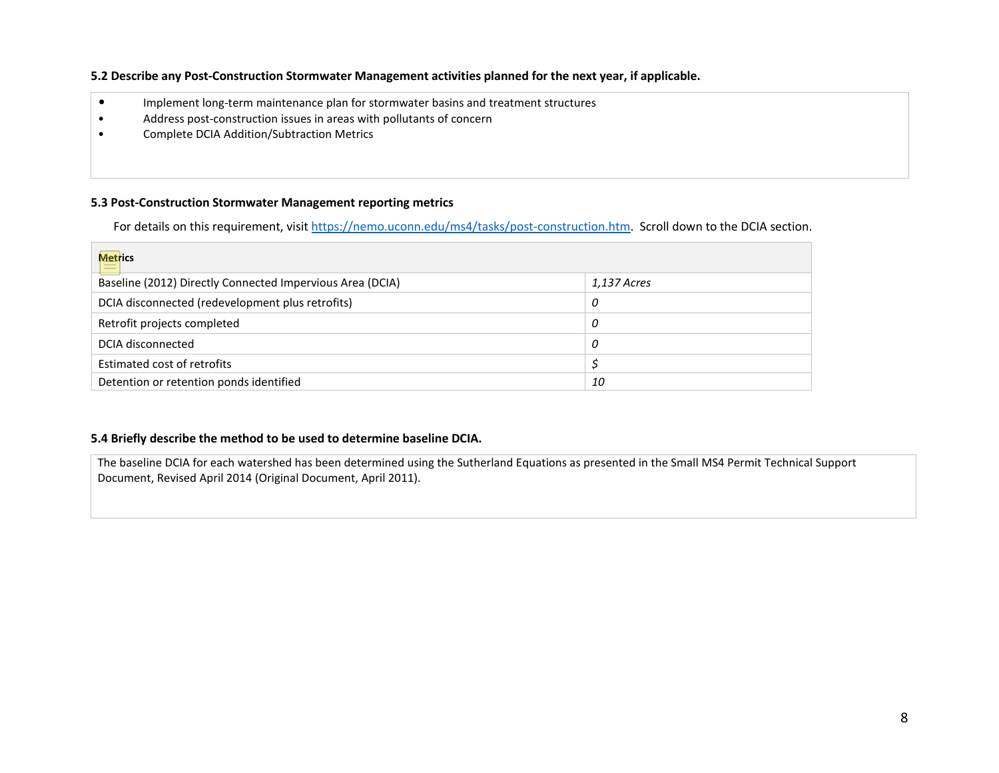### **5.2 Describe any Post-Construction Stormwater Management activities planned for the next year, if applicable.**

- Implement long-term maintenance plan for stormwater basins and treatment structures
- Address post-construction issues in areas with pollutants of concern
- Complete DCIA Addition/Subtraction Metrics

#### **5.3 Post-Construction Stormwater Management reporting metrics**

For details on this requirement, visi[t https://nemo.uconn.edu/ms4/tasks/post-construction.htm.](https://nemo.uconn.edu/ms4/tasks/post-construction.htm) Scroll down to the DCIA section.

| <b>Metrics</b><br>$\frac{1}{2}$                           |             |
|-----------------------------------------------------------|-------------|
| Baseline (2012) Directly Connected Impervious Area (DCIA) | 1,137 Acres |
| DCIA disconnected (redevelopment plus retrofits)          | 0           |
| Retrofit projects completed                               | 0           |
| DCIA disconnected                                         | 0           |
| Estimated cost of retrofits                               |             |
| Detention or retention ponds identified                   | 10          |

### **5.4 Briefly describe the method to be used to determine baseline DCIA.**

The baseline DCIA for each watershed has been determined using the Sutherland Equations as presented in the Small MS4 Permit Technical Support Document, Revised April 2014 (Original Document, April 2011).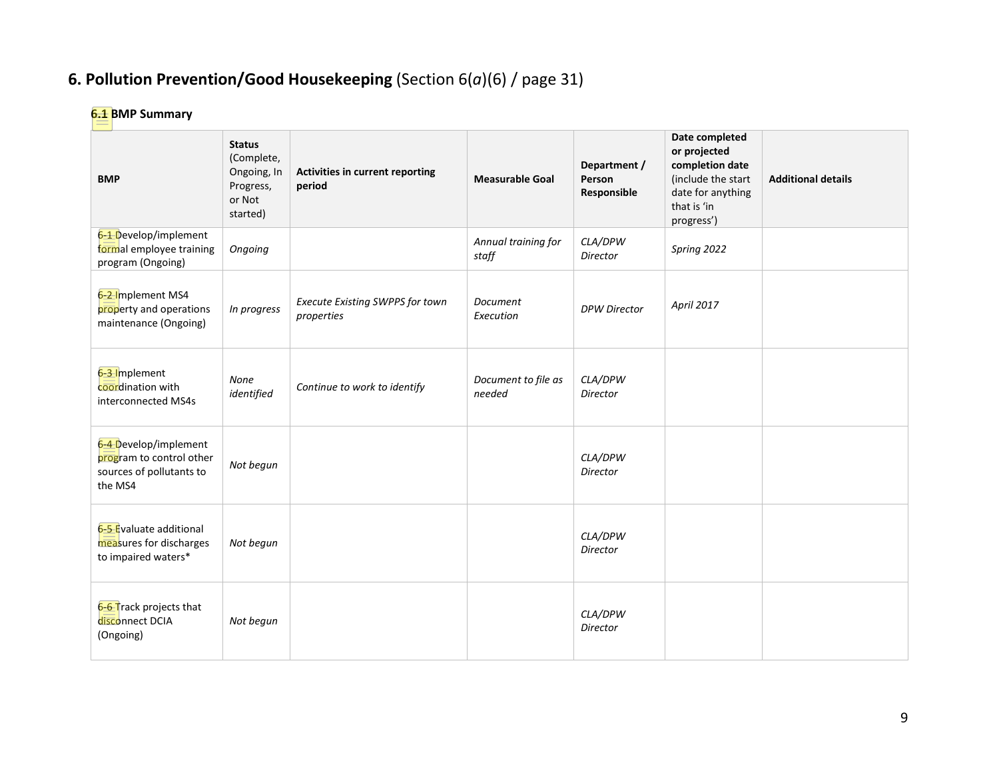# **6. Pollution Prevention/Good Housekeeping** (Section 6(*a*)(6) / page 31)

## **6.1 BMP Summary**

| <b>BMP</b>                                                                               | <b>Status</b><br>(Complete,<br>Ongoing, In<br>Progress,<br>or Not<br>started) | Activities in current reporting<br>period     | <b>Measurable Goal</b>        | Department /<br>Person<br>Responsible | Date completed<br>or projected<br>completion date<br>(include the start<br>date for anything<br>that is 'in<br>progress') | <b>Additional details</b> |
|------------------------------------------------------------------------------------------|-------------------------------------------------------------------------------|-----------------------------------------------|-------------------------------|---------------------------------------|---------------------------------------------------------------------------------------------------------------------------|---------------------------|
| 6-1 Develop/implement<br>formal employee training<br>program (Ongoing)                   | Ongoing                                                                       |                                               | Annual training for<br>staff  | CLA/DPW<br>Director                   | Spring 2022                                                                                                               |                           |
| 6-2-Implement MS4<br>property and operations<br>maintenance (Ongoing)                    | In progress                                                                   | Execute Existing SWPPS for town<br>properties | Document<br>Execution         | <b>DPW Director</b>                   | April 2017                                                                                                                |                           |
| 6-3 Implement<br>coordination with<br>interconnected MS4s                                | None<br>identified                                                            | Continue to work to identify                  | Document to file as<br>needed | CLA/DPW<br>Director                   |                                                                                                                           |                           |
| 6-4 Develop/implement<br>program to control other<br>sources of pollutants to<br>the MS4 | Not begun                                                                     |                                               |                               | CLA/DPW<br>Director                   |                                                                                                                           |                           |
| 6-5 Evaluate additional<br>measures for discharges<br>to impaired waters*                | Not begun                                                                     |                                               |                               | CLA/DPW<br>Director                   |                                                                                                                           |                           |
| 6-6 Track projects that<br>disconnect DCIA<br>(Ongoing)                                  | Not begun                                                                     |                                               |                               | CLA/DPW<br>Director                   |                                                                                                                           |                           |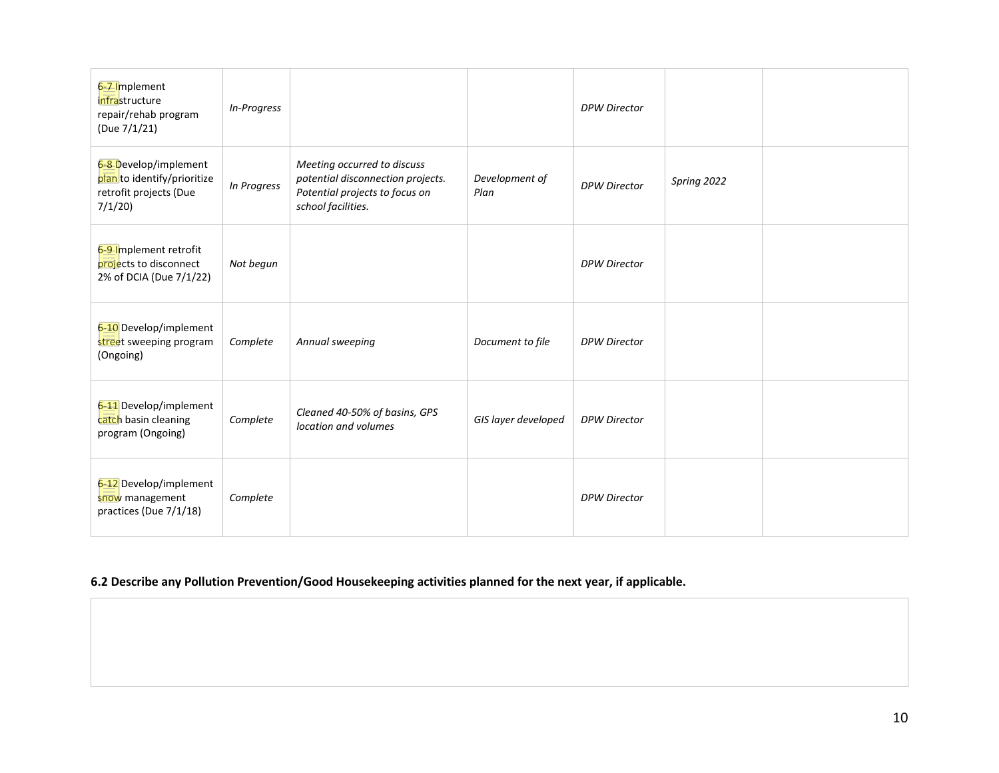| 6-7-Implement<br>infrastructure<br>repair/rehab program<br>(Due 7/1/21)                  | In-Progress |                                                                                                                          |                        | <b>DPW Director</b> |             |  |
|------------------------------------------------------------------------------------------|-------------|--------------------------------------------------------------------------------------------------------------------------|------------------------|---------------------|-------------|--|
| 6-8-Develop/implement<br>plan to identify/prioritize<br>retrofit projects (Due<br>7/1/20 | In Progress | Meeting occurred to discuss<br>potential disconnection projects.<br>Potential projects to focus on<br>school facilities. | Development of<br>Plan | <b>DPW Director</b> | Spring 2022 |  |
| 6-9-Implement retrofit<br>projects to disconnect<br>2% of DCIA (Due 7/1/22)              | Not begun   |                                                                                                                          |                        | <b>DPW Director</b> |             |  |
| 6-10 Develop/implement<br>street sweeping program<br>(Ongoing)                           | Complete    | Annual sweeping                                                                                                          | Document to file       | <b>DPW Director</b> |             |  |
| 6-11 Develop/implement<br>catch basin cleaning<br>program (Ongoing)                      | Complete    | Cleaned 40-50% of basins, GPS<br>location and volumes                                                                    | GIS layer developed    | <b>DPW Director</b> |             |  |
| 6-12 Develop/implement<br>snow management<br>practices (Due 7/1/18)                      | Complete    |                                                                                                                          |                        | <b>DPW Director</b> |             |  |

## **6.2 Describe any Pollution Prevention/Good Housekeeping activities planned for the next year, if applicable.**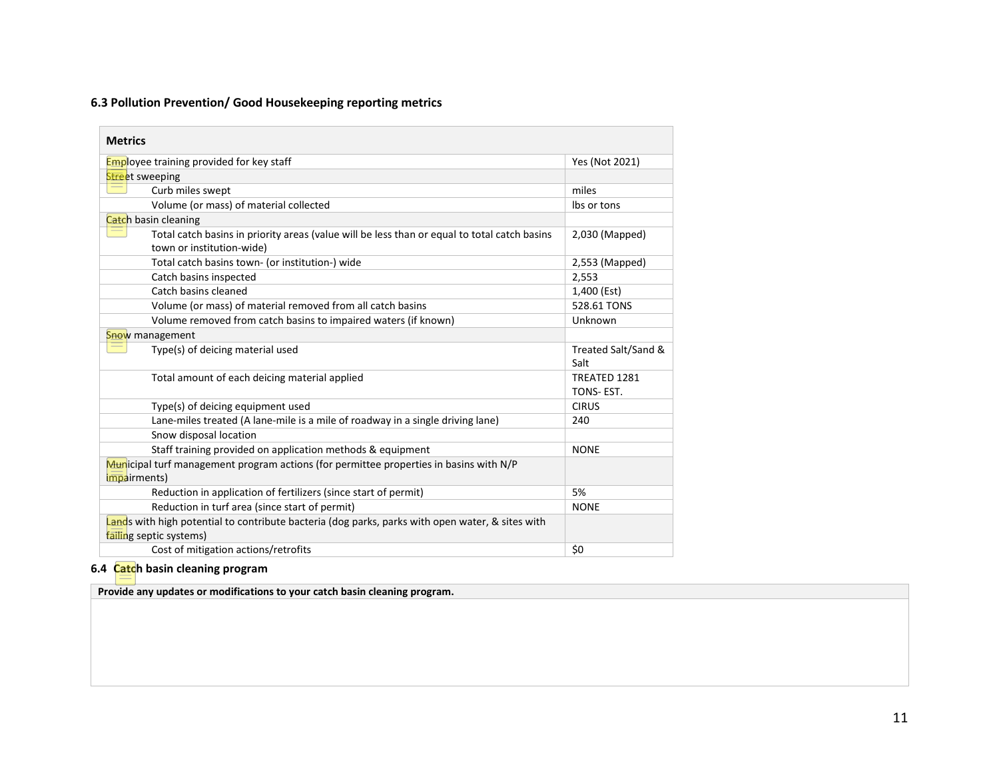## **6.3 Pollution Prevention/ Good Housekeeping reporting metrics**

| <b>Metrics</b>                                                                                                              |                             |
|-----------------------------------------------------------------------------------------------------------------------------|-----------------------------|
| <b>Employee training provided for key staff</b>                                                                             | Yes (Not 2021)              |
| <b>Street</b> sweeping                                                                                                      |                             |
| Curb miles swept                                                                                                            | miles                       |
| Volume (or mass) of material collected                                                                                      | Ibs or tons                 |
| Catch basin cleaning                                                                                                        |                             |
| Total catch basins in priority areas (value will be less than or equal to total catch basins<br>town or institution-wide)   | 2,030 (Mapped)              |
| Total catch basins town- (or institution-) wide                                                                             | 2,553 (Mapped)              |
| Catch basins inspected                                                                                                      | 2,553                       |
| Catch basins cleaned                                                                                                        | 1,400 (Est)                 |
| Volume (or mass) of material removed from all catch basins                                                                  | 528.61 TONS                 |
| Volume removed from catch basins to impaired waters (if known)                                                              | Unknown                     |
| Snow management                                                                                                             |                             |
| Type(s) of deicing material used                                                                                            | Treated Salt/Sand &<br>Salt |
| Total amount of each deicing material applied                                                                               | TREATED 1281<br>TONS-EST.   |
| Type(s) of deicing equipment used                                                                                           | <b>CIRUS</b>                |
| Lane-miles treated (A lane-mile is a mile of roadway in a single driving lane)                                              | 240                         |
| Snow disposal location                                                                                                      |                             |
| Staff training provided on application methods & equipment                                                                  | <b>NONE</b>                 |
| Municipal turf management program actions (for permittee properties in basins with N/P<br><i>impairments)</i>               |                             |
| Reduction in application of fertilizers (since start of permit)                                                             | 5%                          |
| Reduction in turf area (since start of permit)                                                                              | <b>NONE</b>                 |
| Lands with high potential to contribute bacteria (dog parks, parks with open water, & sites with<br>failing septic systems) |                             |
| Cost of mitigation actions/retrofits                                                                                        | \$0                         |

## **6.4 Catch basin cleaning program**

**Provide any updates or modifications to your catch basin cleaning program.**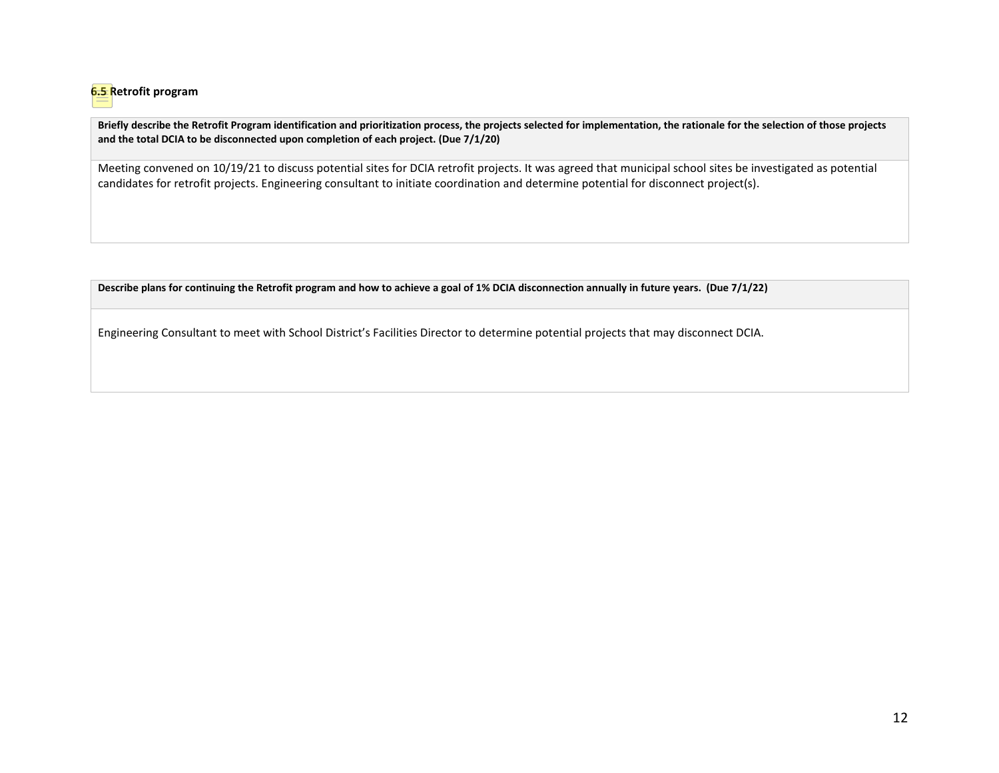

**Briefly describe the Retrofit Program identification and prioritization process, the projects selected for implementation, the rationale for the selection of those projects and the total DCIA to be disconnected upon completion of each project. (Due 7/1/20)**

Meeting convened on 10/19/21 to discuss potential sites for DCIA retrofit projects. It was agreed that municipal school sites be investigated as potential candidates for retrofit projects. Engineering consultant to initiate coordination and determine potential for disconnect project(s).

**Describe plans for continuing the Retrofit program and how to achieve a goal of 1% DCIA disconnection annually in future years. (Due 7/1/22)**

Engineering Consultant to meet with School District's Facilities Director to determine potential projects that may disconnect DCIA.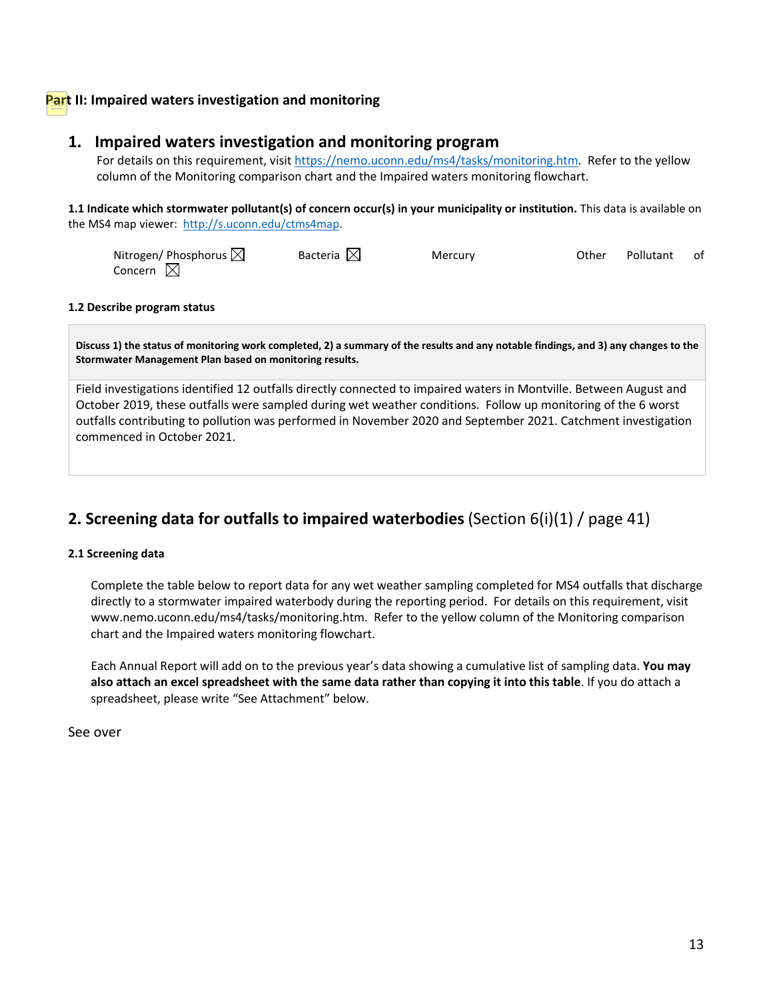## **Part II: Impaired waters investigation and monitoring**

## **1. Impaired waters investigation and monitoring program**

For details on this requirement, visit [https://nemo.uconn.edu/ms4/tasks/monitoring.htm.](https://nemo.uconn.edu/ms4/tasks/monitoring.htm) Refer to the yellow column of the Monitoring comparison chart and the Impaired waters monitoring flowchart.

**1.1 Indicate which stormwater pollutant(s) of concern occur(s) in your municipality or institution.** This data is available on the MS4 map viewer: [http://s.uconn.edu/ctms4map.](http://www.nemo.uconn.edu/ms4)

| Nitrogen/ Phosphorus $\boxtimes$ | Bacteria $\boxtimes$ | Mercury | Other | Pollutant | - of |
|----------------------------------|----------------------|---------|-------|-----------|------|
| Concern $\boxtimes$              |                      |         |       |           |      |

#### **1.2 Describe program status**

**Discuss 1) the status of monitoring work completed, 2) a summary of the results and any notable findings, and 3) any changes to the Stormwater Management Plan based on monitoring results.** 

Field investigations identified 12 outfalls directly connected to impaired waters in Montville. Between August and October 2019, these outfalls were sampled during wet weather conditions. Follow up monitoring of the 6 worst outfalls contributing to pollution was performed in November 2020 and September 2021. Catchment investigation commenced in October 2021.

## **2. Screening data for outfalls to impaired waterbodies**(Section 6(i)(1) / page 41)

#### **2.1 Screening data**

Complete the table below to report data for any wet weather sampling completed for MS4 outfalls that discharge directly to a stormwater impaired waterbody during the reporting period. For details on this requirement, visit [www.nemo.uconn.edu/ms4/tasks/monitoring.htm.](http://www.nemo.uconn.edu/ms4/tasks/monitoring.htm) Refer to the yellow column of the Monitoring comparison chart and the Impaired waters monitoring flowchart.

Each Annual Report will add on to the previous year's data showing a cumulative list of sampling data. **You may also attach an excel spreadsheet with the same data rather than copying it into this table**. If you do attach a spreadsheet, please write "See Attachment" below.

See over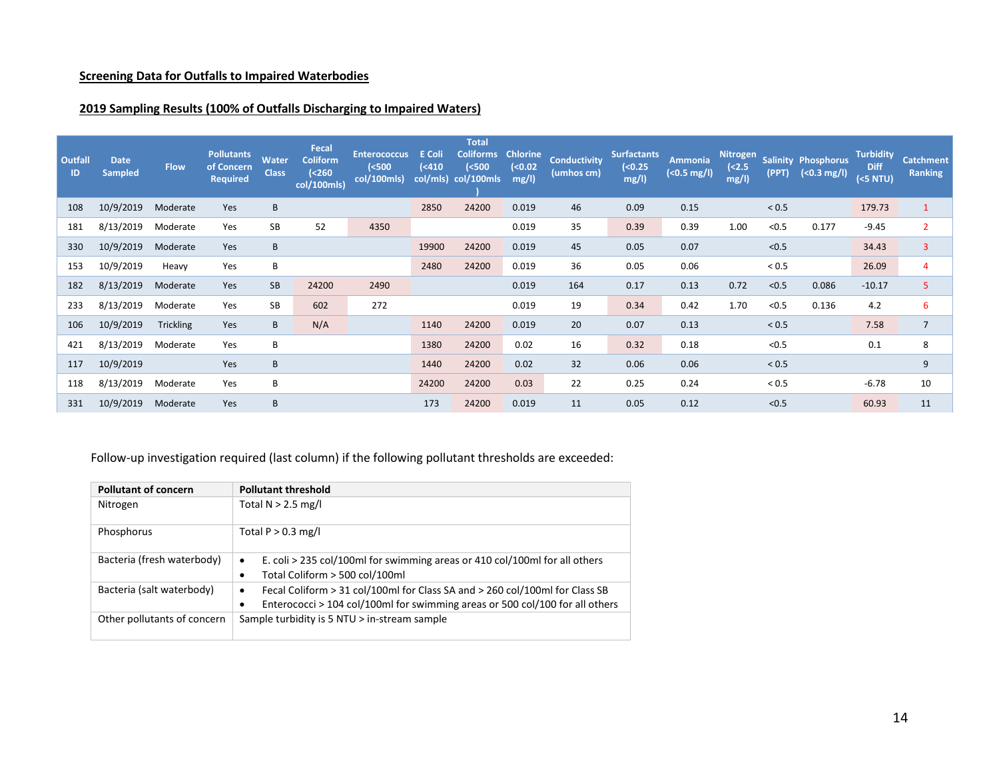## **Screening Data for Outfalls to Impaired Waterbodies**

## **2019 Sampling Results (100% of Outfalls Discharging to Impaired Waters)**

| Outfall<br>ID | <b>Date</b><br><b>Sampled</b> | <b>Flow</b>      | <b>Pollutants</b><br>of Concern<br><b>Required</b> | <b>Water</b><br><b>Class</b> | Fecal<br><b>Coliform</b><br>(<260<br>col/100mls) | <b>Enterococcus</b><br>( <b>500</b> )<br>col/100mls) | E Coli<br>(410) | <b>Total</b><br><b>Coliforms</b><br>( <b>500</b><br>col/mls) col/100mls | <b>Chlorine</b><br>( < 0.02)<br>mg/l) | <b>Conductivity</b><br>(umhos cm) | <b>Surfactants</b><br>(0.25)<br>mg/l) | Ammonia<br>$($ $0.5 \, \text{mg/l}$ ) | Nitrogen<br>( <b>2.5</b> )<br>mg/l | (PPT)        | <b>Salinity Phosphorus</b><br>$( < 0.3$ mg/l) | <b>Turbidity</b><br>Diff<br>( <b>5 NTU</b> ) | <b>Catchment</b><br><b>Ranking</b> |
|---------------|-------------------------------|------------------|----------------------------------------------------|------------------------------|--------------------------------------------------|------------------------------------------------------|-----------------|-------------------------------------------------------------------------|---------------------------------------|-----------------------------------|---------------------------------------|---------------------------------------|------------------------------------|--------------|-----------------------------------------------|----------------------------------------------|------------------------------------|
| 108           | 10/9/2019                     | Moderate         | Yes                                                | B                            |                                                  |                                                      | 2850            | 24200                                                                   | 0.019                                 | 46                                | 0.09                                  | 0.15                                  |                                    | < 0.5        |                                               | 179.73                                       | $\mathbf{1}$                       |
| 181           | 8/13/2019                     | Moderate         | Yes                                                | SB                           | 52                                               | 4350                                                 |                 |                                                                         | 0.019                                 | 35                                | 0.39                                  | 0.39                                  | 1.00                               | < 0.5        | 0.177                                         | $-9.45$                                      | $\overline{2}$                     |
| 330           | 10/9/2019                     | Moderate         | Yes                                                | B                            |                                                  |                                                      | 19900           | 24200                                                                   | 0.019                                 | 45                                | 0.05                                  | 0.07                                  |                                    | < 0.5        |                                               | 34.43                                        | 3                                  |
| 153           | 10/9/2019                     | Heavy            | Yes                                                | B                            |                                                  |                                                      | 2480            | 24200                                                                   | 0.019                                 | 36                                | 0.05                                  | 0.06                                  |                                    | ${}_{< 0.5}$ |                                               | 26.09                                        | 4                                  |
| 182           | 8/13/2019                     | Moderate         | Yes                                                | SB                           | 24200                                            | 2490                                                 |                 |                                                                         | 0.019                                 | 164                               | 0.17                                  | 0.13                                  | 0.72                               | < 0.5        | 0.086                                         | $-10.17$                                     | 5                                  |
| 233           | 8/13/2019                     | Moderate         | Yes                                                | SB                           | 602                                              | 272                                                  |                 |                                                                         | 0.019                                 | 19                                | 0.34                                  | 0.42                                  | 1.70                               | < 0.5        | 0.136                                         | 4.2                                          | 6                                  |
| 106           | 10/9/2019                     | <b>Trickling</b> | Yes                                                | B                            | N/A                                              |                                                      | 1140            | 24200                                                                   | 0.019                                 | 20                                | 0.07                                  | 0.13                                  |                                    | < 0.5        |                                               | 7.58                                         | $\overline{7}$                     |
| 421           | 8/13/2019                     | Moderate         | Yes                                                | B                            |                                                  |                                                      | 1380            | 24200                                                                   | 0.02                                  | 16                                | 0.32                                  | 0.18                                  |                                    | < 0.5        |                                               | 0.1                                          | 8                                  |
| 117           | 10/9/2019                     |                  | Yes                                                | B                            |                                                  |                                                      | 1440            | 24200                                                                   | 0.02                                  | 32                                | 0.06                                  | 0.06                                  |                                    | < 0.5        |                                               |                                              | 9                                  |
| 118           | 8/13/2019                     | Moderate         | Yes                                                | В                            |                                                  |                                                      | 24200           | 24200                                                                   | 0.03                                  | 22                                | 0.25                                  | 0.24                                  |                                    | < 0.5        |                                               | $-6.78$                                      | 10                                 |
| 331           | 10/9/2019                     | Moderate         | Yes                                                | B                            |                                                  |                                                      | 173             | 24200                                                                   | 0.019                                 | 11                                | 0.05                                  | 0.12                                  |                                    | < 0.5        |                                               | 60.93                                        | 11                                 |

Follow-up investigation required (last column) if the following pollutant thresholds are exceeded:

| <b>Pollutant of concern</b> | <b>Pollutant threshold</b>                                                                                                                                       |
|-----------------------------|------------------------------------------------------------------------------------------------------------------------------------------------------------------|
| Nitrogen                    | Total $N > 2.5$ mg/l                                                                                                                                             |
| Phosphorus                  | Total $P > 0.3$ mg/l                                                                                                                                             |
| Bacteria (fresh waterbody)  | E. coli > 235 col/100ml for swimming areas or 410 col/100ml for all others<br>٠<br>Total Coliform > 500 col/100ml                                                |
| Bacteria (salt waterbody)   | Fecal Coliform > 31 col/100ml for Class SA and > 260 col/100ml for Class SB<br>٠<br>Enterococci > 104 col/100ml for swimming areas or 500 col/100 for all others |
| Other pollutants of concern | Sample turbidity is 5 NTU > in-stream sample                                                                                                                     |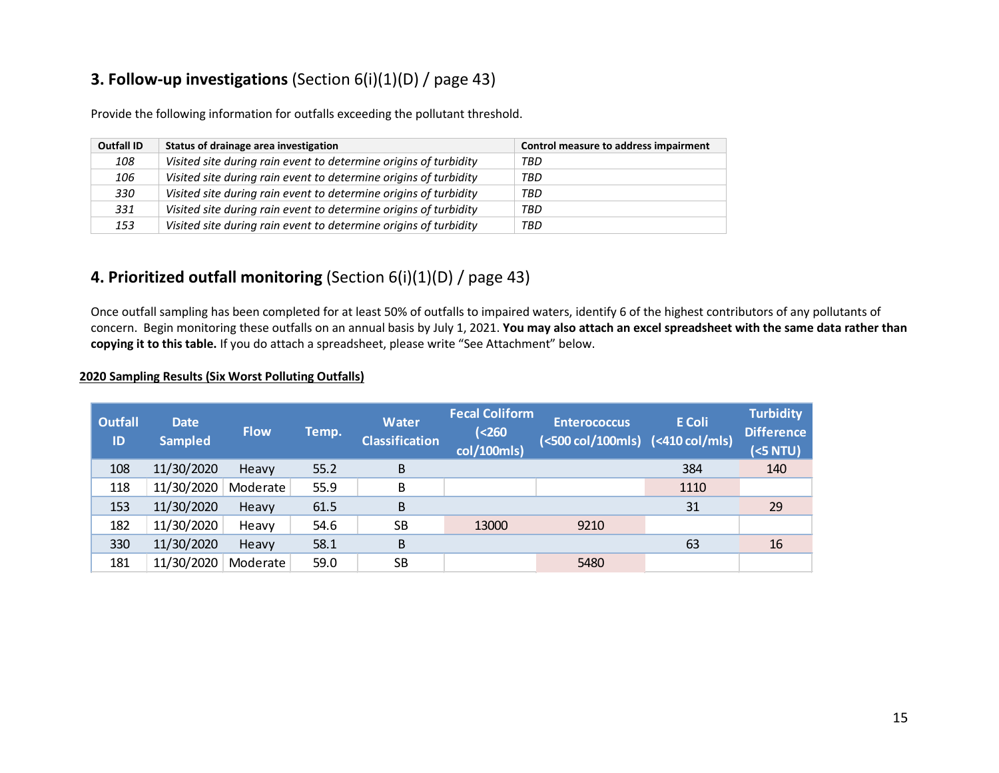# **3. Follow-up investigations** (Section 6(i)(1)(D) / page 43)

Provide the following information for outfalls exceeding the pollutant threshold.

| <b>Outfall ID</b> | Status of drainage area investigation                            | Control measure to address impairment |
|-------------------|------------------------------------------------------------------|---------------------------------------|
| 108               | Visited site during rain event to determine origins of turbidity | TBD                                   |
| 106               | Visited site during rain event to determine origins of turbidity | TBD                                   |
| 330               | Visited site during rain event to determine origins of turbidity | TBD                                   |
| 331               | Visited site during rain event to determine origins of turbidity | TBD                                   |
| 153               | Visited site during rain event to determine origins of turbidity | TBD                                   |

# **4. Prioritized outfall monitoring** (Section 6(i)(1)(D) / page 43)

Once outfall sampling has been completed for at least 50% of outfalls to impaired waters, identify 6 of the highest contributors of any pollutants of concern. Begin monitoring these outfalls on an annual basis by July 1, 2021. **You may also attach an excel spreadsheet with the same data rather than copying it to this table.** If you do attach a spreadsheet, please write "See Attachment" below.

### **2020 Sampling Results (Six Worst Polluting Outfalls)**

| <b>Outfall</b><br>ID | <b>Date</b><br><b>Sampled</b> | <b>Flow</b> | Temp. | <b>Water</b><br><b>Classification</b> | <b>Fecal Coliform</b><br>( <b>260</b> )<br>col/100mls) | <b>Enterococcus</b><br>(<500 col/100mls) (<410 col/mls) | <b>E</b> Coli | <b>Turbidity</b><br><b>Difference</b><br>(5NTU) |
|----------------------|-------------------------------|-------------|-------|---------------------------------------|--------------------------------------------------------|---------------------------------------------------------|---------------|-------------------------------------------------|
| 108                  | 11/30/2020                    | Heavy       | 55.2  | B                                     |                                                        |                                                         | 384           | 140                                             |
| 118                  | 11/30/2020                    | Moderate    | 55.9  | B                                     |                                                        |                                                         | 1110          |                                                 |
| 153                  | 11/30/2020                    | Heavy       | 61.5  | B                                     |                                                        |                                                         | 31            | 29                                              |
| 182                  | 11/30/2020                    | Heavy       | 54.6  | <b>SB</b>                             | 13000                                                  | 9210                                                    |               |                                                 |
| 330                  | 11/30/2020                    | Heavy       | 58.1  | B                                     |                                                        |                                                         | 63            | 16                                              |
| 181                  | 11/30/2020                    | Moderate    | 59.0  | <b>SB</b>                             |                                                        | 5480                                                    |               |                                                 |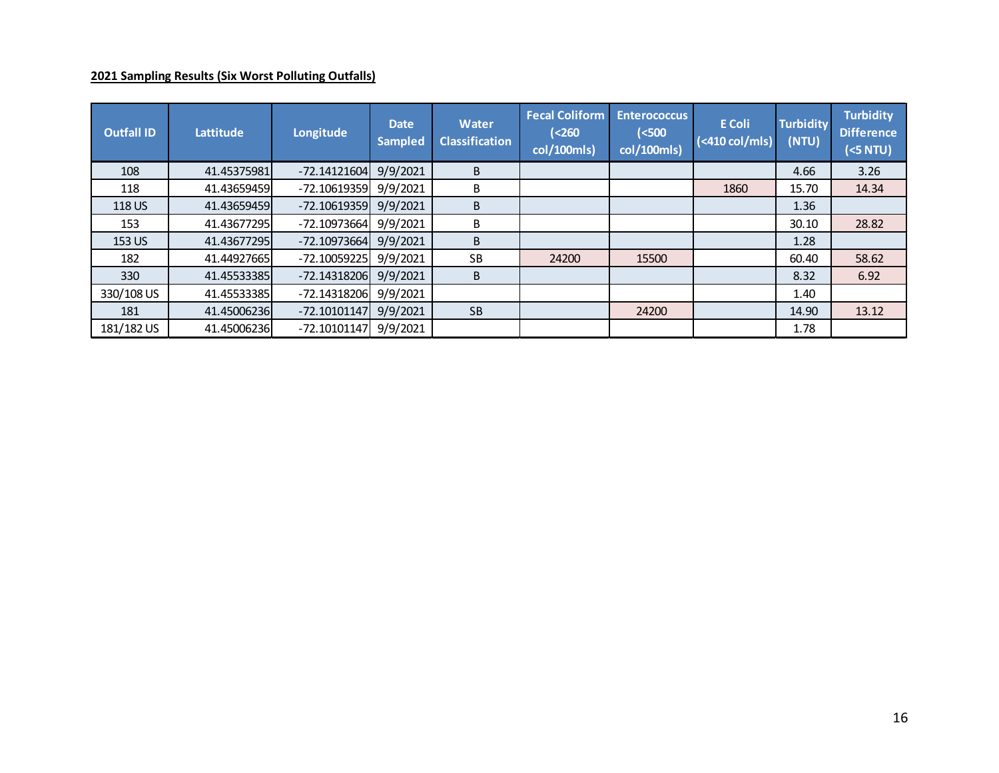## **2021 Sampling Results (Six Worst Polluting Outfalls)**

| <b>Outfall ID</b> | Lattitude   | Longitude      | <b>Date</b><br><b>Sampled</b> | <b>Water</b><br><b>Classification</b> | <b>Fecal Coliform</b><br>( <b>260</b> )<br>col/100mls) | <b>Enterococcus</b><br>( <sub>500</sub><br>col/100mls) | <b>E</b> Coli<br>$\sqrt{(410 \text{ col/mls})}$ | <b>Turbidity</b><br>(NTU) | <b>Turbidity</b><br><b>Difference</b><br>(<5 NTU) |
|-------------------|-------------|----------------|-------------------------------|---------------------------------------|--------------------------------------------------------|--------------------------------------------------------|-------------------------------------------------|---------------------------|---------------------------------------------------|
| 108               | 41.45375981 | $-72.14121604$ | 9/9/2021                      | B                                     |                                                        |                                                        |                                                 | 4.66                      | 3.26                                              |
| 118               | 41.43659459 | $-72.10619359$ | 9/9/2021                      | В                                     |                                                        |                                                        | 1860                                            | 15.70                     | 14.34                                             |
| 118 US            | 41.43659459 | $-72.10619359$ | 9/9/2021                      | B                                     |                                                        |                                                        |                                                 | 1.36                      |                                                   |
| 153               | 41.43677295 | $-72.10973664$ | 9/9/2021                      | B                                     |                                                        |                                                        |                                                 | 30.10                     | 28.82                                             |
| 153 US            | 41.43677295 | $-72.10973664$ | 9/9/2021                      | B                                     |                                                        |                                                        |                                                 | 1.28                      |                                                   |
| 182               | 41.44927665 | -72.10059225   | 9/9/2021                      | <b>SB</b>                             | 24200                                                  | 15500                                                  |                                                 | 60.40                     | 58.62                                             |
| 330               | 41.45533385 | $-72.14318206$ | 9/9/2021                      | B                                     |                                                        |                                                        |                                                 | 8.32                      | 6.92                                              |
| 330/108 US        | 41.45533385 | $-72.14318206$ | 9/9/2021                      |                                       |                                                        |                                                        |                                                 | 1.40                      |                                                   |
| 181               | 41.45006236 | $-72.10101147$ | 9/9/2021                      | <b>SB</b>                             |                                                        | 24200                                                  |                                                 | 14.90                     | 13.12                                             |
| 181/182 US        | 41.45006236 | $-72.10101147$ | 9/9/2021                      |                                       |                                                        |                                                        |                                                 | 1.78                      |                                                   |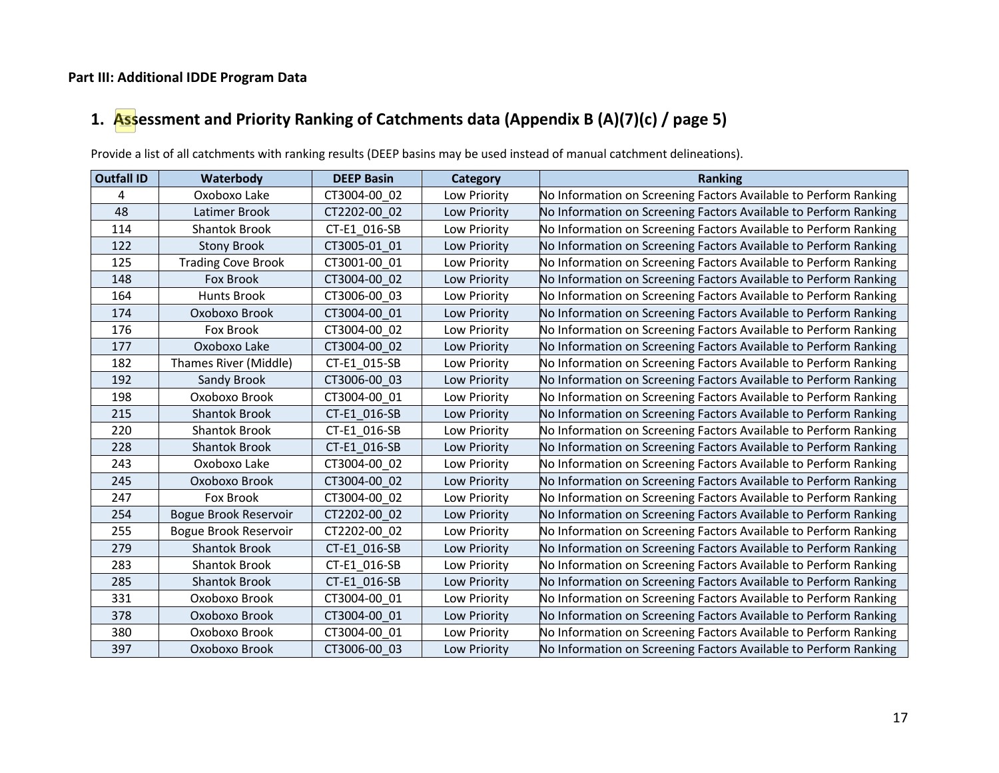## **Part III: Additional IDDE Program Data**

# **1. Assessment and Priority Ranking of Catchments data (Appendix B (A)(7)(c) / page 5)**

Provide a list of all catchments with ranking results (DEEP basins may be used instead of manual catchment delineations).

| <b>Outfall ID</b> | Waterbody                    | <b>DEEP Basin</b> | <b>Category</b> | <b>Ranking</b>                                                   |
|-------------------|------------------------------|-------------------|-----------------|------------------------------------------------------------------|
| 4                 | Oxoboxo Lake                 | CT3004-00 02      | Low Priority    | No Information on Screening Factors Available to Perform Ranking |
| 48                | Latimer Brook                | CT2202-00 02      | Low Priority    | No Information on Screening Factors Available to Perform Ranking |
| 114               | <b>Shantok Brook</b>         | CT-E1 016-SB      | Low Priority    | No Information on Screening Factors Available to Perform Ranking |
| 122               | <b>Stony Brook</b>           | CT3005-01 01      | Low Priority    | No Information on Screening Factors Available to Perform Ranking |
| 125               | <b>Trading Cove Brook</b>    | CT3001-00 01      | Low Priority    | No Information on Screening Factors Available to Perform Ranking |
| 148               | <b>Fox Brook</b>             | CT3004-00 02      | Low Priority    | No Information on Screening Factors Available to Perform Ranking |
| 164               | <b>Hunts Brook</b>           | CT3006-00 03      | Low Priority    | No Information on Screening Factors Available to Perform Ranking |
| 174               | Oxoboxo Brook                | CT3004-00 01      | Low Priority    | No Information on Screening Factors Available to Perform Ranking |
| 176               | Fox Brook                    | CT3004-00 02      | Low Priority    | No Information on Screening Factors Available to Perform Ranking |
| 177               | Oxoboxo Lake                 | CT3004-00 02      | Low Priority    | No Information on Screening Factors Available to Perform Ranking |
| 182               | Thames River (Middle)        | CT-E1 015-SB      | Low Priority    | No Information on Screening Factors Available to Perform Ranking |
| 192               | Sandy Brook                  | CT3006-00_03      | Low Priority    | No Information on Screening Factors Available to Perform Ranking |
| 198               | Oxoboxo Brook                | CT3004-00 01      | Low Priority    | No Information on Screening Factors Available to Perform Ranking |
| 215               | <b>Shantok Brook</b>         | CT-E1_016-SB      | Low Priority    | No Information on Screening Factors Available to Perform Ranking |
| 220               | <b>Shantok Brook</b>         | CT-E1 016-SB      | Low Priority    | No Information on Screening Factors Available to Perform Ranking |
| 228               | <b>Shantok Brook</b>         | CT-E1 016-SB      | Low Priority    | No Information on Screening Factors Available to Perform Ranking |
| 243               | Oxoboxo Lake                 | CT3004-00 02      | Low Priority    | No Information on Screening Factors Available to Perform Ranking |
| 245               | Oxoboxo Brook                | CT3004-00 02      | Low Priority    | No Information on Screening Factors Available to Perform Ranking |
| 247               | Fox Brook                    | CT3004-00 02      | Low Priority    | No Information on Screening Factors Available to Perform Ranking |
| 254               | Bogue Brook Reservoir        | CT2202-00 02      | Low Priority    | No Information on Screening Factors Available to Perform Ranking |
| 255               | <b>Bogue Brook Reservoir</b> | CT2202-00 02      | Low Priority    | No Information on Screening Factors Available to Perform Ranking |
| 279               | <b>Shantok Brook</b>         | CT-E1_016-SB      | Low Priority    | No Information on Screening Factors Available to Perform Ranking |
| 283               | <b>Shantok Brook</b>         | CT-E1 016-SB      | Low Priority    | No Information on Screening Factors Available to Perform Ranking |
| 285               | <b>Shantok Brook</b>         | CT-E1 016-SB      | Low Priority    | No Information on Screening Factors Available to Perform Ranking |
| 331               | Oxoboxo Brook                | CT3004-00 01      | Low Priority    | No Information on Screening Factors Available to Perform Ranking |
| 378               | Oxoboxo Brook                | CT3004-00 01      | Low Priority    | No Information on Screening Factors Available to Perform Ranking |
| 380               | Oxoboxo Brook                | CT3004-00_01      | Low Priority    | No Information on Screening Factors Available to Perform Ranking |
| 397               | Oxoboxo Brook                | CT3006-00_03      | Low Priority    | No Information on Screening Factors Available to Perform Ranking |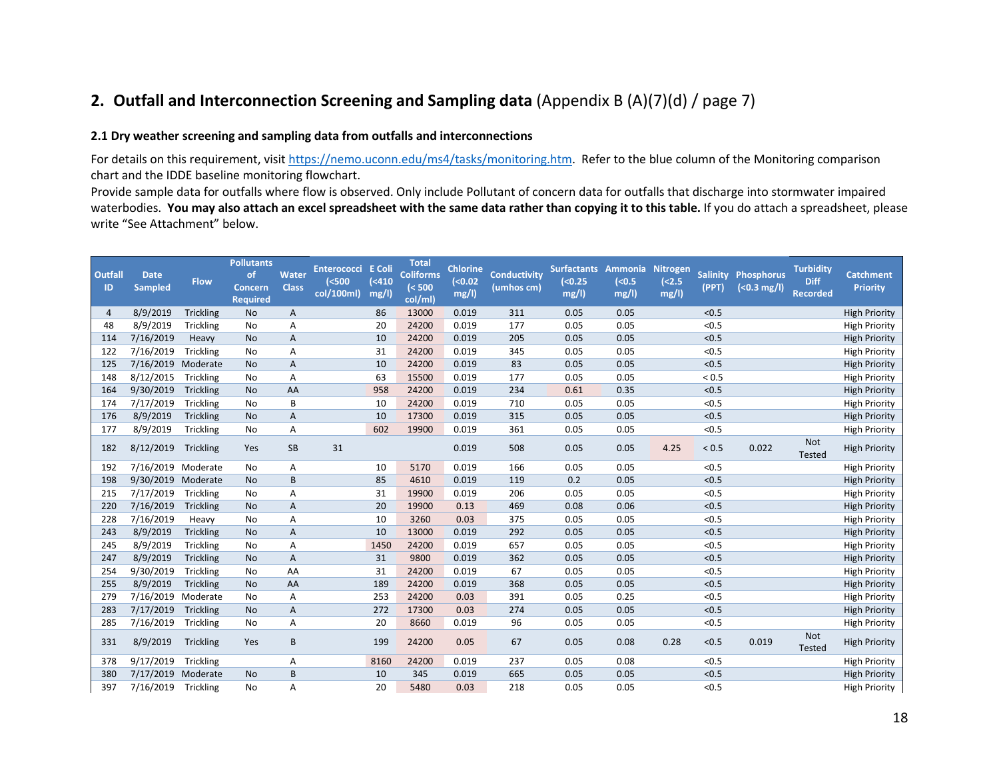# **2. Outfall and Interconnection Screening and Sampling data** (Appendix B (A)(7)(d) / page 7)

#### **2.1 Dry weather screening and sampling data from outfalls and interconnections**

For details on this requirement, visi[t https://nemo.uconn.edu/ms4/tasks/monitoring.htm.](https://nemo.uconn.edu/ms4/tasks/monitoring.htm) Refer to the blue column of the Monitoring comparison chart and the IDDE baseline monitoring flowchart.

Provide sample data for outfalls where flow is observed. Only include Pollutant of concern data for outfalls that discharge into stormwater impaired waterbodies. **You may also attach an excel spreadsheet with the same data rather than copying it to this table.** If you do attach a spreadsheet, please write "See Attachment" below.

| Outfall<br>ID | <b>Date</b>        | <b>Flow</b>      | <b>Pollutants</b><br><b>of</b><br><b>Concern</b> | Water<br><b>Class</b> | <b>Enterococci</b><br>(<500 | E Coli<br>(<410 | <b>Total</b><br><b>Coliforms</b><br>( < 500 | <b>Chlorine</b><br>( < 0.02) | <b>Conductivity</b> | Surfactants Ammonia Nitrogen<br>( < 0.25) | ( <b>0.5</b> ) | ( <b>2.5</b> ) | <b>Salinity</b><br>(PPT) | <b>Phosphorus</b>    | <b>Turbidity</b><br><b>Diff</b> | <b>Catchment</b>     |
|---------------|--------------------|------------------|--------------------------------------------------|-----------------------|-----------------------------|-----------------|---------------------------------------------|------------------------------|---------------------|-------------------------------------------|----------------|----------------|--------------------------|----------------------|---------------------------------|----------------------|
|               | <b>Sampled</b>     |                  | <b>Required</b>                                  |                       | col/100ml)                  | mg/l)           | col/ml)                                     | mg/l)                        | (umhos cm)          | mg/l)                                     | mg/l)          | mg/l)          |                          | $(0.3 \text{ mg/l})$ | Recorded                        | <b>Priority</b>      |
| 4             | 8/9/2019           | Trickling        | No                                               | A                     |                             | 86              | 13000                                       | 0.019                        | 311                 | 0.05                                      | 0.05           |                | < 0.5                    |                      |                                 | <b>High Priority</b> |
| 48            | 8/9/2019           | Trickling        | No                                               | A                     |                             | 20              | 24200                                       | 0.019                        | 177                 | 0.05                                      | 0.05           |                | < 0.5                    |                      |                                 | <b>High Priority</b> |
| 114           | 7/16/2019          | Heavy            | <b>No</b>                                        | A                     |                             | 10              | 24200                                       | 0.019                        | 205                 | 0.05                                      | 0.05           |                | < 0.5                    |                      |                                 | <b>High Priority</b> |
| 122           | 7/16/2019          | Trickling        | No                                               | Α                     |                             | 31              | 24200                                       | 0.019                        | 345                 | 0.05                                      | 0.05           |                | < 0.5                    |                      |                                 | <b>High Priority</b> |
| 125           | 7/16/2019          | Moderate         | <b>No</b>                                        | A                     |                             | 10              | 24200                                       | 0.019                        | 83                  | 0.05                                      | 0.05           |                | < 0.5                    |                      |                                 | <b>High Priority</b> |
| 148           | 8/12/2015          | Trickling        | No                                               | Α                     |                             | 63              | 15500                                       | 0.019                        | 177                 | 0.05                                      | 0.05           |                | < 0.5                    |                      |                                 | <b>High Priority</b> |
| 164           | 9/30/2019          | <b>Trickling</b> | <b>No</b>                                        | AA                    |                             | 958             | 24200                                       | 0.019                        | 234                 | 0.61                                      | 0.35           |                | < 0.5                    |                      |                                 | <b>High Priority</b> |
| 174           | 7/17/2019          | Trickling        | No                                               | B                     |                             | 10              | 24200                                       | 0.019                        | 710                 | 0.05                                      | 0.05           |                | < 0.5                    |                      |                                 | <b>High Priority</b> |
| 176           | 8/9/2019           | <b>Trickling</b> | No                                               | A                     |                             | 10              | 17300                                       | 0.019                        | 315                 | 0.05                                      | 0.05           |                | < 0.5                    |                      |                                 | <b>High Priority</b> |
| 177           | 8/9/2019           | Trickling        | No                                               | Α                     |                             | 602             | 19900                                       | 0.019                        | 361                 | 0.05                                      | 0.05           |                | < 0.5                    |                      |                                 | <b>High Priority</b> |
| 182           | 8/12/2019          | Trickling        | Yes                                              | SB                    | 31                          |                 |                                             | 0.019                        | 508                 | 0.05                                      | 0.05           | 4.25           | < 0.5                    | 0.022                | <b>Not</b><br>Tested            | <b>High Priority</b> |
| 192           | 7/16/2019 Moderate |                  | No                                               | Α                     |                             | 10              | 5170                                        | 0.019                        | 166                 | 0.05                                      | 0.05           |                | < 0.5                    |                      |                                 | <b>High Priority</b> |
| 198           | 9/30/2019 Moderate |                  | <b>No</b>                                        | B                     |                             | 85              | 4610                                        | 0.019                        | 119                 | 0.2                                       | 0.05           |                | < 0.5                    |                      |                                 | <b>High Priority</b> |
| 215           | 7/17/2019          | Trickling        | <b>No</b>                                        | A                     |                             | 31              | 19900                                       | 0.019                        | 206                 | 0.05                                      | 0.05           |                | < 0.5                    |                      |                                 | <b>High Priority</b> |
| 220           | 7/16/2019          | Trickling        | <b>No</b>                                        | A                     |                             | 20              | 19900                                       | 0.13                         | 469                 | 0.08                                      | 0.06           |                | < 0.5                    |                      |                                 | <b>High Priority</b> |
| 228           | 7/16/2019          | Heavy            | No                                               | Α                     |                             | 10              | 3260                                        | 0.03                         | 375                 | 0.05                                      | 0.05           |                | < 0.5                    |                      |                                 | <b>High Priority</b> |
| 243           | 8/9/2019           | <b>Trickling</b> | <b>No</b>                                        | A                     |                             | 10              | 13000                                       | 0.019                        | 292                 | 0.05                                      | 0.05           |                | < 0.5                    |                      |                                 | <b>High Priority</b> |
| 245           | 8/9/2019           | Trickling        | No                                               | Α                     |                             | 1450            | 24200                                       | 0.019                        | 657                 | 0.05                                      | 0.05           |                | < 0.5                    |                      |                                 | <b>High Priority</b> |
| 247           | 8/9/2019           | Trickling        | <b>No</b>                                        | $\overline{A}$        |                             | 31              | 9800                                        | 0.019                        | 362                 | 0.05                                      | 0.05           |                | < 0.5                    |                      |                                 | <b>High Priority</b> |
| 254           | 9/30/2019          | Trickling        | <b>No</b>                                        | AA                    |                             | 31              | 24200                                       | 0.019                        | 67                  | 0.05                                      | 0.05           |                | < 0.5                    |                      |                                 | <b>High Priority</b> |
| 255           | 8/9/2019           | <b>Trickling</b> | <b>No</b>                                        | AA                    |                             | 189             | 24200                                       | 0.019                        | 368                 | 0.05                                      | 0.05           |                | < 0.5                    |                      |                                 | <b>High Priority</b> |
| 279           | 7/16/2019          | Moderate         | <b>No</b>                                        | Α                     |                             | 253             | 24200                                       | 0.03                         | 391                 | 0.05                                      | 0.25           |                | < 0.5                    |                      |                                 | <b>High Priority</b> |
| 283           | 7/17/2019          | Trickling        | No                                               | A                     |                             | 272             | 17300                                       | 0.03                         | 274                 | 0.05                                      | 0.05           |                | < 0.5                    |                      |                                 | <b>High Priority</b> |
| 285           | 7/16/2019          | Trickling        | No                                               | Α                     |                             | 20              | 8660                                        | 0.019                        | 96                  | 0.05                                      | 0.05           |                | < 0.5                    |                      |                                 | <b>High Priority</b> |
| 331           | 8/9/2019           | Trickling        | Yes                                              | B                     |                             | 199             | 24200                                       | 0.05                         | 67                  | 0.05                                      | 0.08           | 0.28           | < 0.5                    | 0.019                | Not<br>Tested                   | <b>High Priority</b> |
| 378           | 9/17/2019          | Trickling        |                                                  | Α                     |                             | 8160            | 24200                                       | 0.019                        | 237                 | 0.05                                      | 0.08           |                | < 0.5                    |                      |                                 | <b>High Priority</b> |
| 380           | 7/17/2019          | Moderate         | No                                               | B                     |                             | 10              | 345                                         | 0.019                        | 665                 | 0.05                                      | 0.05           |                | < 0.5                    |                      |                                 | <b>High Priority</b> |
| 397           | 7/16/2019          | Trickling        | <b>No</b>                                        | A                     |                             | 20              | 5480                                        | 0.03                         | 218                 | 0.05                                      | 0.05           |                | < 0.5                    |                      |                                 | <b>High Priority</b> |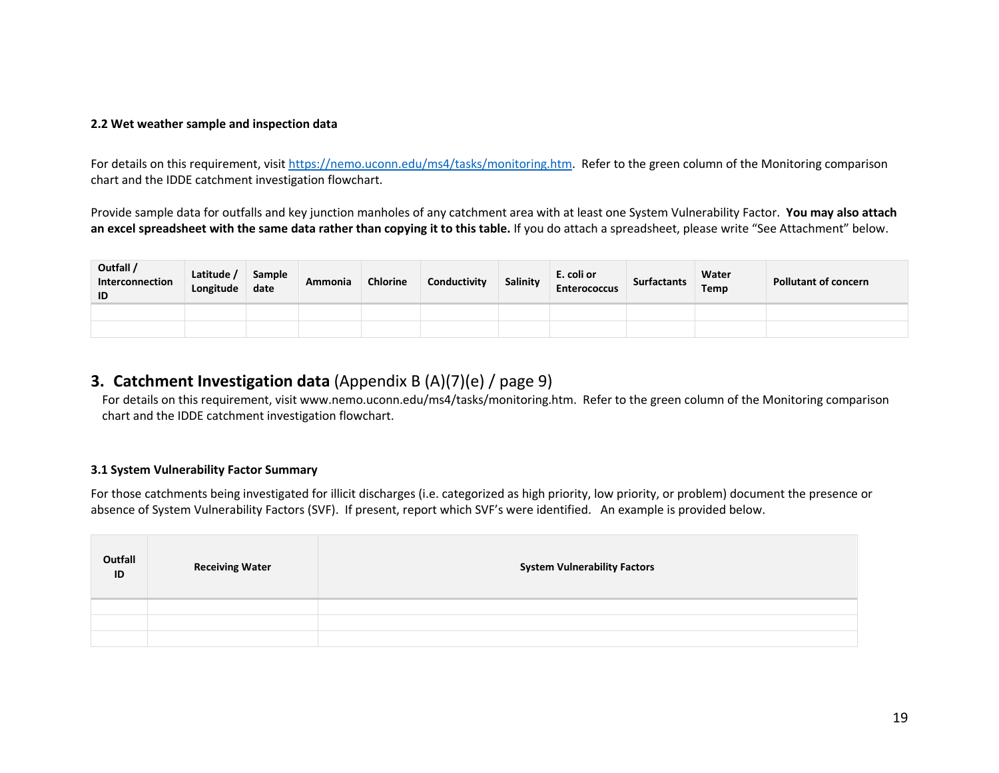### **2.2 Wet weather sample and inspection data**

For details on this requirement, visit [https://nemo.uconn.edu/ms4/tasks/monitoring.htm.](https://nemo.uconn.edu/ms4/tasks/monitoring.htm) Refer to the green column of the Monitoring comparison chart and the IDDE catchment investigation flowchart.

Provide sample data for outfalls and key junction manholes of any catchment area with at least one System Vulnerability Factor. **You may also attach an excel spreadsheet with the same data rather than copying it to this table.** If you do attach a spreadsheet, please write "See Attachment" below.

| Outfall /<br>Interconnection<br>ID | Latitude<br>Longitude | Sample<br>date | Ammonia | <b>Chlorine</b> | Conductivity | Salinity | E. coli or<br><b>Enterococcus</b> | <b>Surfactants</b> | Water<br>Temp | Pollutant of concern |
|------------------------------------|-----------------------|----------------|---------|-----------------|--------------|----------|-----------------------------------|--------------------|---------------|----------------------|
|                                    |                       |                |         |                 |              |          |                                   |                    |               |                      |
|                                    |                       |                |         |                 |              |          |                                   |                    |               |                      |

## **3. Catchment Investigation data** (Appendix B (A)(7)(e) / page 9)

For details on this requirement, visi[t www.nemo.uconn.edu/ms4/tasks/monitoring.htm.](http://www.nemo.uconn.edu/ms4/tasks/monitoring.htm) Refer to the green column of the Monitoring comparison chart and the IDDE catchment investigation flowchart.

### **3.1 System Vulnerability Factor Summary**

For those catchments being investigated for illicit discharges (i.e. categorized as high priority, low priority, or problem) document the presence or absence of System Vulnerability Factors (SVF). If present, report which SVF's were identified. An example is provided below.

| Outfall<br>$\overline{D}$ | <b>Receiving Water</b> | <b>System Vulnerability Factors</b> |
|---------------------------|------------------------|-------------------------------------|
|                           |                        |                                     |
|                           |                        |                                     |
|                           |                        |                                     |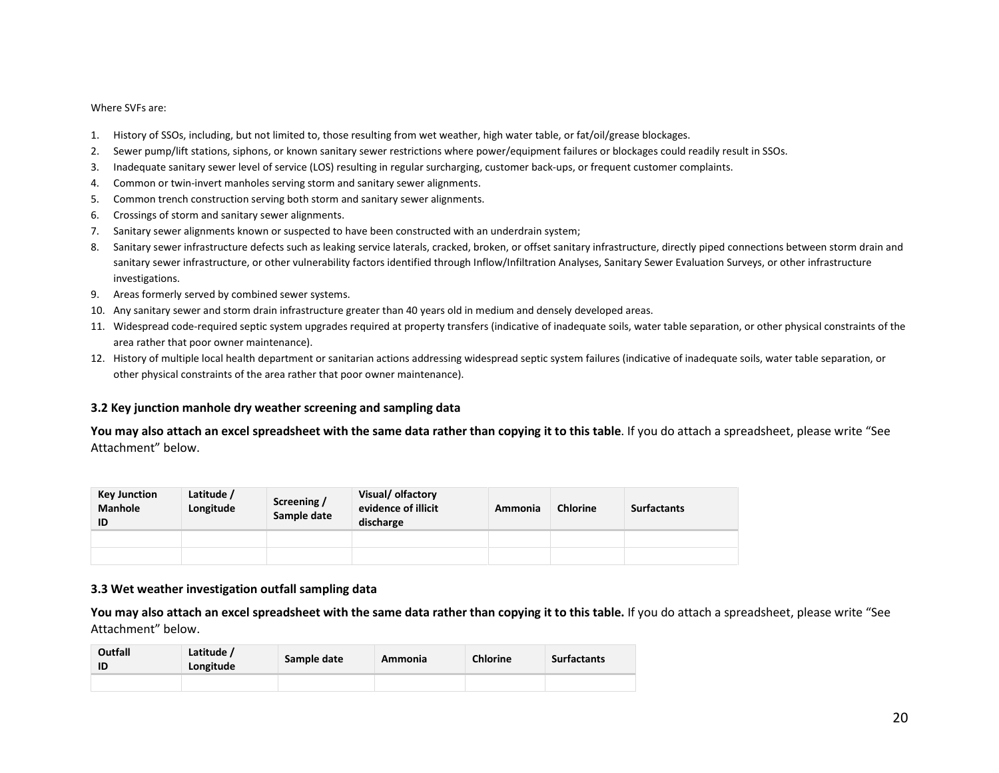#### Where SVFs are:

- 1. History of SSOs, including, but not limited to, those resulting from wet weather, high water table, or fat/oil/grease blockages.
- 2. Sewer pump/lift stations, siphons, or known sanitary sewer restrictions where power/equipment failures or blockages could readily result in SSOs.
- 3. Inadequate sanitary sewer level of service (LOS) resulting in regular surcharging, customer back-ups, or frequent customer complaints.
- 4. Common or twin-invert manholes serving storm and sanitary sewer alignments.
- 5. Common trench construction serving both storm and sanitary sewer alignments.
- 6. Crossings of storm and sanitary sewer alignments.
- 7. Sanitary sewer alignments known or suspected to have been constructed with an underdrain system;
- 8. Sanitary sewer infrastructure defects such as leaking service laterals, cracked, broken, or offset sanitary infrastructure, directly piped connections between storm drain and sanitary sewer infrastructure, or other vulnerability factors identified through Inflow/Infiltration Analyses, Sanitary Sewer Evaluation Surveys, or other infrastructure investigations.
- 9. Areas formerly served by combined sewer systems.
- 10. Any sanitary sewer and storm drain infrastructure greater than 40 years old in medium and densely developed areas.
- 11. Widespread code-required septic system upgrades required at property transfers (indicative of inadequate soils, water table separation, or other physical constraints of the area rather that poor owner maintenance).
- 12. History of multiple local health department or sanitarian actions addressing widespread septic system failures (indicative of inadequate soils, water table separation, or other physical constraints of the area rather that poor owner maintenance).

#### **3.2 Key junction manhole dry weather screening and sampling data**

**You may also attach an excel spreadsheet with the same data rather than copying it to this table**. If you do attach a spreadsheet, please write "See Attachment" below.

| <b>Key Junction</b><br><b>Manhole</b><br>ID | Latitude /<br>Longitude | Screening /<br>Sample date | Visual/ olfactory<br>evidence of illicit<br>discharge | Ammonia | <b>Chlorine</b> | <b>Surfactants</b> |
|---------------------------------------------|-------------------------|----------------------------|-------------------------------------------------------|---------|-----------------|--------------------|
|                                             |                         |                            |                                                       |         |                 |                    |
|                                             |                         |                            |                                                       |         |                 |                    |

#### **3.3 Wet weather investigation outfall sampling data**

**You may also attach an excel spreadsheet with the same data rather than copying it to this table.** If you do attach a spreadsheet, please write "See Attachment" below.

| Outfall | Latitude /<br>Longitude | Sample date | Ammonia | <b>Chlorine</b> | <b>Surfactants</b> |
|---------|-------------------------|-------------|---------|-----------------|--------------------|
|         |                         |             |         |                 |                    |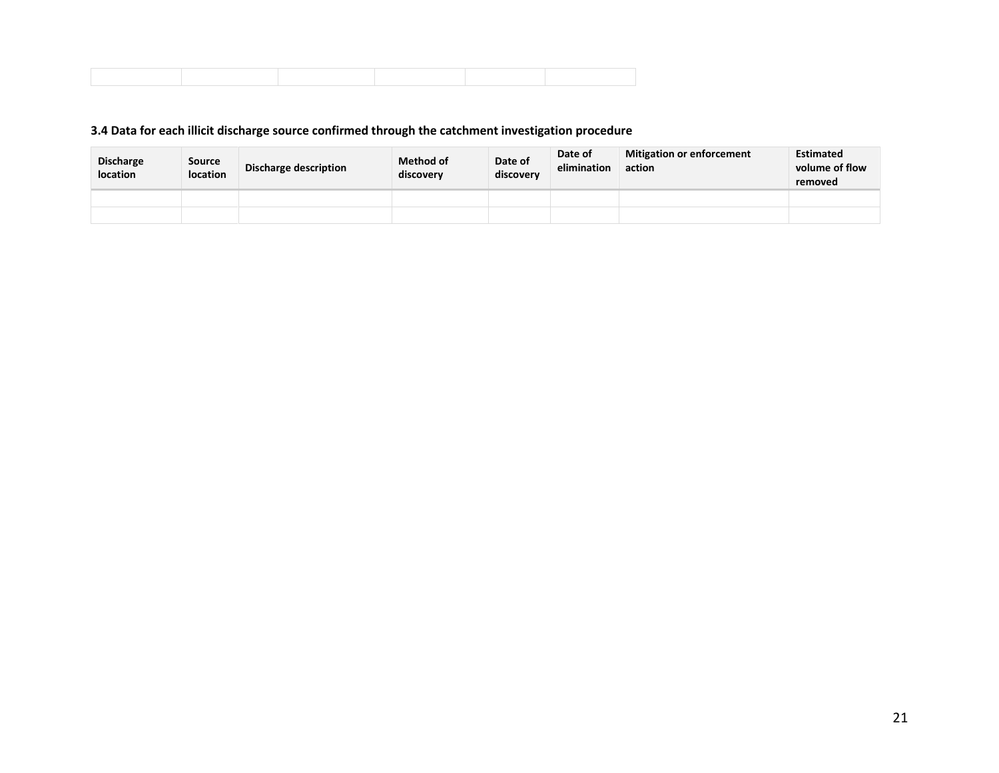## **3.4 Data for each illicit discharge source confirmed through the catchment investigation procedure**

| <b>Discharge</b><br>location | <b>Source</b><br><b>location</b> | Discharge description | <b>Method of</b><br>discovery | Date of<br>discovery | Date of<br>elimination | <b>Mitigation or enforcement</b><br>action | <b>Estimated</b><br>volume of flow<br>removed |
|------------------------------|----------------------------------|-----------------------|-------------------------------|----------------------|------------------------|--------------------------------------------|-----------------------------------------------|
|                              |                                  |                       |                               |                      |                        |                                            |                                               |
|                              |                                  |                       |                               |                      |                        |                                            |                                               |